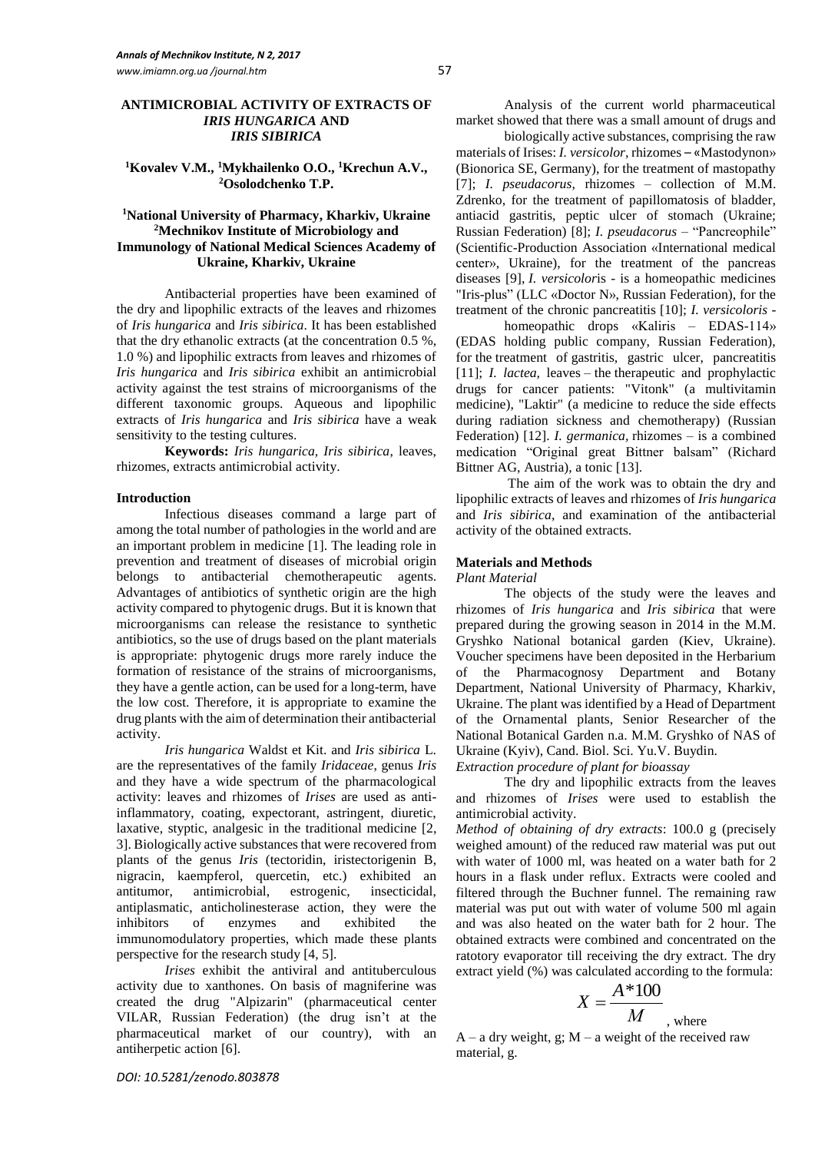## **ANTIMICROBIAL ACTIVITY OF EXTRACTS OF**  *IRIS HUNGARICA* **AND**  *IRIS SIBIRICA*

# **<sup>1</sup>Kovalev V.M., <sup>1</sup>Mykhailenko O.O., <sup>1</sup>Krechun A.V., <sup>2</sup>Osolodchenko T.P.**

## **<sup>1</sup>National University of Pharmacy, Kharkiv, Ukraine <sup>2</sup>Mechnikov Institute of Microbiology and Immunology of National Medical Sciences Academy of Ukraine, Kharkiv, Ukraine**

Antibacterial properties have been examined of the dry and lipophilic extracts of the leaves and rhizomes of *Iris hungarica* and *Iris sibirica*. It has been established that the dry ethanolic extracts (at the concentration 0.5 %, 1.0 %) and lipophilic extracts from leaves and rhizomes of *Iris hungarica* and *Iris sibirica* exhibit an antimicrobial activity against the test strains of microorganisms of the different taxonomic groups. Aqueous and lipophilic extracts of *Iris hungarica* and *Iris sibirica* have a weak sensitivity to the testing cultures.

**Keywords:** *Iris hungarica, Iris sibirica*, leaves, rhizomes, extracts antimicrobial activity.

#### **Introduction**

Infectious diseases command a large part of among the total number of pathologies in the world and are an important problem in medicine [1]. The leading role in prevention and treatment of diseases of microbial origin belongs to antibacterial [chemotherapeutic agents](http://www.multitran.ru/c/m.exe?t=5663067_1_2&s1=%F5%E8%EC%E8%EE%EF%F0%E5%EF%E0%F0%E0%F2). Advantages of antibiotics of synthetic origin are the high activity compared to phytogenic drugs. But it is known that microorganisms can release the resistance to synthetic antibiotics, so the use of drugs based on the plant materials is appropriate: phytogenic drugs more rarely induce the formation of resistance of the strains of microorganisms, they have a gentle action, can be used for a long-term, have the low cost. Therefore, it is appropriate to examine the drug plants with the aim of determination their antibacterial activity.

*Iris hungarica* Waldst et Kit. and *Iris sibirica* L. are the representatives of the family *Iridaceae*, genus *Iris* and they have a wide spectrum of the pharmacological activity: leaves and rhizomes of *Irises* are used as antiinflammatory, coating, expectorant, astringent, diuretic, laxative, styptic, analgesic in the traditional medicine [2, 3]. Biologically active substances that were recovered from plants of the genus *Iris* (tectoridin, iristectorigenin B, nigracin, kaempferol, quercetin, etc.) exhibited an antitumor, antimicrobial, estrogenic, insecticidal, antiplasmatic, anticholinesterase action, they were the inhibitors of enzymes and exhibited the immunomodulatory properties, which made these plants perspective for the research study [4, 5].

*Irises* exhibit the antiviral and [antituberculous](http://www.multitran.ru/c/m.exe?t=290290_1_2&s1=%EF%F0%EE%F2%E8%E2%EE%F2%F3%E1%E5%F0%EA%F3%EB%B8%E7%ED%EE%E5%20%F1%F0%E5%E4%F1%F2%E2%EE) activity due to xanthones. On basis of magniferine was created the drug "Alpizarin" [\(pharmaceutical center](http://www.multitran.ru/c/m.exe?t=323875_1_2&s1=%F4%E0%F0%EC%E0%F6%E5%E2%F2%E8%F7%E5%F1%EA%E8%E9%20%F6%E5%ED%F2%F0) VILAR, Russian Federation) (the drug isn't at the pharmaceutical market of our country), with an antiherpetic action [6].

Analysis of the current world pharmaceutical market showed that there was a small amount of drugs and

biologically active substances, comprising the raw materials of Irises: *I. versicolor,* rhizomes – «Mastodynon» (Bionorica SE, Germany), for the treatment of mastopathy [7]; *I. pseudacorus,* rhizomes – collection of M.M. Zdrenko, for the treatment of papillomatosis of bladder, antiacid gastritis, peptic ulcer of stomach (Ukraine; Russian Federation) [8]; *I. pseudacorus* – "Pancreophile" (Scientific-Production Association «International medical center», Ukraine), for the treatment of the pancreas diseases [9], *I. versicolor*is - is a homeopathic medicines "Iris-plus" (LLC «Doctor N», Russian Federation), for the treatment of the chronic pancreatitis [10]; *I. versicoloris* -

homeopathic drops «Kaliris – EDAS-114» (EDAS holding public company, Russian Federation), for the treatment of gastritis, gastric ulcer, pancreatitis [11]; *I. lactea,* leaves – the therapeutic and prophylactic drugs for cancer patients: "Vitonk" (a multivitamin medicine), "Laktir" (a medicine to reduce the side effects during radiation sickness and chemotherapy) (Russian Federation) [12]. *I. germanica,* rhizomes – is a combined medication "Original great Bittner balsam" (Richard Bittner AG, Austria), a tonic [13].

The aim of the work was to obtain the dry and lipophilic extracts of leaves and rhizomes of *Iris hungarica* and *Iris sibirica*, and examination of the antibacterial activity of the obtained extracts.

## **Materials and Methods**

*Plant Material*

The objects of the study were the leaves and rhizomes of *Iris hungarica* and *Iris sibirica* that were prepared during the growing season in 2014 in the M.M. Gryshko National botanical garden (Kiev, Ukraine). Voucher specimens have been deposited in the Herbarium of the Pharmacognosy Department and Botany Department, National University of Pharmacy, Kharkiv, Ukraine. The plant was identified by a Head of Department of the Ornamental plants, Senior Researcher of the National Botanical Garden n.a. M.M. Gryshko of NAS of Ukraine (Kyiv), Cand. Biol. Sci. Yu.V. Buydin.

*Extraction procedure of plant for bioassay*

The dry and lipophilic extracts from the leaves and rhizomes of *Irises* were used to establish the antimicrobial activity.

*Method of obtaining of dry extracts*: 100.0 g (precisely weighed amount) of the reduced raw material was put out with water of 1000 ml, was heated on a water bath for 2 hours in a flask under reflux. Extracts were cooled and filtered through the Buchner funnel. The remaining raw material was put out with water of volume 500 ml again and was also heated on the water bath for 2 hour. The obtained extracts were combined and concentrated on the ratotory evaporator till receiving the dry extract. The dry extract yield (%) was calculated according to the formula:

$$
X = \frac{A*100}{M}
$$
, where

 $A - a$  dry weight, g;  $M - a$  weight of the received raw material, g.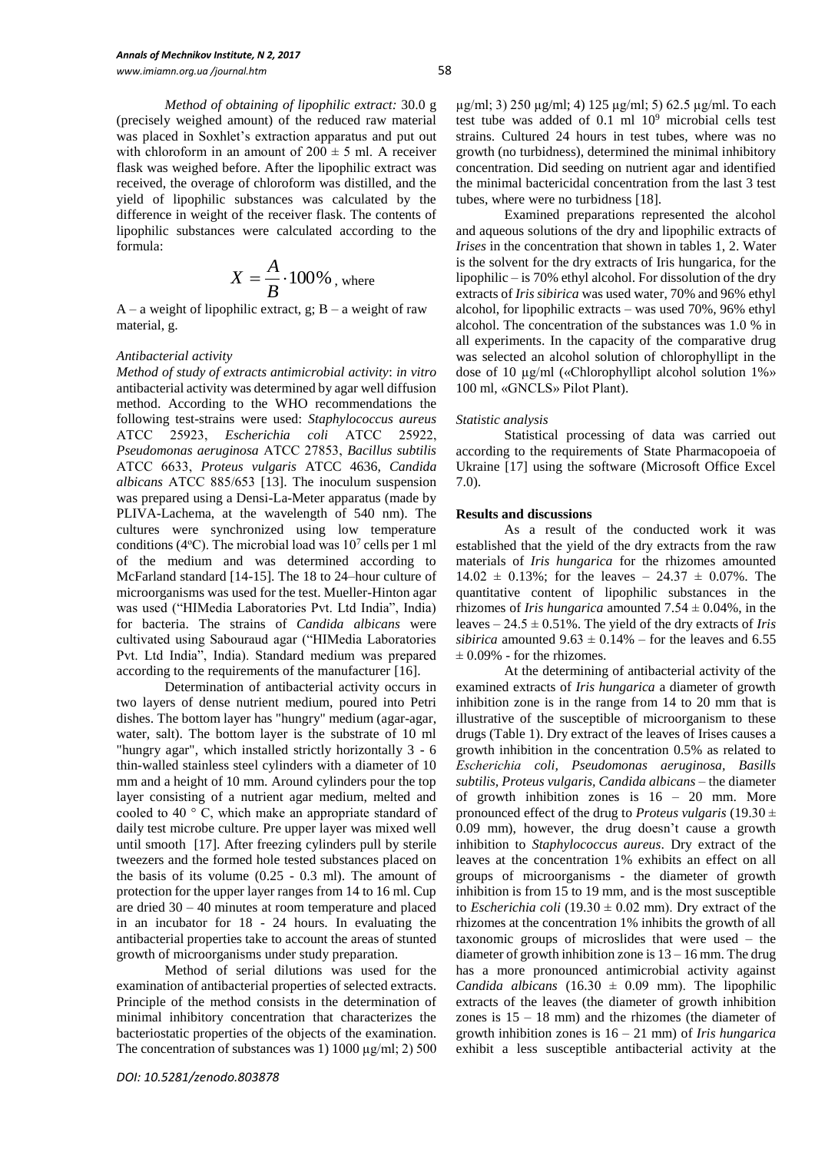*Method of obtaining of lipophilic extract:* 30.0 g (precisely weighed amount) of the reduced raw material was placed in Soxhlet's extraction apparatus and put out with chloroform in an amount of  $200 \pm 5$  ml. A receiver flask was weighed before. After the lipophilic extract was received, the overage of chloroform was distilled, and the yield of lipophilic substances was calculated by the difference in weight of the receiver flask. The contents of lipophilic substances were calculated according to the formula:

$$
X = \frac{A}{B} \cdot 100\%
$$
, where

 $A - a$  weight of lipophilic extract, g;  $B - a$  weight of raw material, g.

#### *Antibacterial activity*

*Method of study of extracts antimicrobial activity*: *in vitro* antibacterial activity was determined by agar well diffusion method. According to the WHO recommendations the following test-strains were used: *Staphylococcus aureus* АТСС 25923, *Escherichia coli* АТСС 25922, *Pseudomonas aeruginosa* АТСС 27853, *Bacillus subtilis* АТСС 6633, *Proteus vulgaris* ATCC 4636, *Candida albicans* АТСС 885/653 [13]. The inoculum suspension was prepared using a Densi-La-Meter apparatus (made by PLIVA-Lachema, at the wavelength of 540 nm). The cultures were synchronized using low temperature conditions (4°C). The microbial load was  $10<sup>7</sup>$  cells per 1 ml of the medium and was determined according to McFarland standard [14-15]. The 18 to 24–hour culture of microorganisms was used for the test. Mueller-Hinton agar was used ("HIMedia Laboratories Pvt. Ltd India", India) for bacteria. The strains of *Candida albicans* were cultivated using Sabouraud agar ("HIMedia Laboratories Pvt. Ltd India", India). Standard medium was prepared according to the requirements of the manufacturer [16].

Determination of antibacterial activity occurs in two layers of dense nutrient medium, poured into Petri dishes. The bottom layer has "hungry" medium (agar-agar, water, salt). The bottom layer is the substrate of 10 ml "hungry agar", which installed strictly horizontally 3 - 6 thin-walled stainless steel cylinders with a diameter of 10 mm and a height of 10 mm. Around cylinders pour the top layer consisting of a nutrient agar medium, melted and cooled to 40 ° C, which make an appropriate standard of daily test microbe culture. Pre upper layer was mixed well until smooth [17]. After freezing cylinders pull by sterile tweezers and the formed hole tested substances placed on the basis of its volume (0.25 - 0.3 ml). The amount of protection for the upper layer ranges from 14 to 16 ml. Cup are dried 30 – 40 minutes at room temperature and placed in an incubator for 18 - 24 hours. In evaluating the antibacterial properties take to account the areas of stunted growth of microorganisms under study preparation.

Method of serial dilutions was used for the examination of antibacterial properties of selected extracts. Principle of the method consists in the determination of minimal inhibitory concentration that characterizes the bacteriostatic properties of the objects of the examination. The concentration of substances was 1) 1000  $\mu$ g/ml; 2) 500

µg/ml; 3) 250 µg/ml; 4) 125 µg/ml; 5) 62.5 µg/ml. To each test tube was added of  $0.1$  ml  $10<sup>9</sup>$  microbial cells test strains. Cultured 24 hours in test tubes, where was no growth (no turbidness), determined the minimal inhibitory concentration. Did seeding on nutrient agar and identified the minimal bactericidal concentration from the last 3 test tubes, where were no turbidness [18].

Examined preparations represented the alcohol and aqueous solutions of the dry and lipophilic extracts of *Irises* in the concentration that shown in tables 1, 2. Water is the solvent for the dry extracts of Iris hungarica, for the lipophilic – is 70% ethyl alcohol. For dissolution of the dry extracts of *Iris sibirica* was used water, 70% and 96% ethyl alcohol, for lipophilic extracts – was used 70%, 96% ethyl alcohol. The concentration of the substances was 1.0 % in all experiments. In the capacity of the comparative drug was selected an alcohol solution of chlorophyllipt in the dose of 10 µg/ml («Chlorophyllipt alcohol solution 1%» 100 ml, «GNCLS» Pilot Plant).

#### *Statistic analysis*

Statistical processing of data was carried out according to the requirements of State Pharmacopoeia of Ukraine [17] using the software (Microsoft Office Excel 7.0).

## **Results and discussions**

As a result of the conducted work it was established that the yield of the dry extracts from the raw materials of *Iris hungarica* for the rhizomes amounted  $14.02 \pm 0.13\%$ ; for the leaves –  $24.37 \pm 0.07\%$ . The quantitative content of lipophilic substances in the rhizomes of *Iris hungarica* amounted  $7.54 \pm 0.04$ %, in the leaves – 24.5 ± 0.51%. The yield of the dry extracts of *Iris sibirica* amounted  $9.63 \pm 0.14\%$  – for the leaves and 6.55  $\pm$  0.09% - for the rhizomes.

At the determining of antibacterial activity of the examined extracts of *Iris hungarica* a diameter of growth inhibition zone is in the range from 14 to 20 mm that is illustrative of the susceptible of microorganism to these drugs (Table 1). Dry extract of the leaves of Irises causes a growth inhibition in the concentration 0.5% as related to *Escherichiа coli, Pseudomonas aeruginosa, Basills subtilis, Proteus vulgaris, Candida albicans* – the diameter of growth inhibition zones is 16 – 20 mm. More pronounced effect of the drug to *Proteus vulgaris* (19.30 ± 0.09 mm), however, the drug doesn't cause a growth inhibition to *Staphylococcus aureus*. Dry extract of the leaves at the concentration 1% exhibits an effect on all groups of microorganisms - the diameter of growth inhibition is from 15 to 19 mm, and is the most susceptible to *Escherichia coli* (19.30  $\pm$  0.02 mm). Dry extract of the rhizomes at the concentration 1% inhibits the growth of all taxonomic groups of microslides that were used – the diameter of growth inhibition zone is  $13 - 16$  mm. The drug has a more pronounced antimicrobial activity against *Candida albicans*  $(16.30 \pm 0.09 \text{ mm})$ . The lipophilic extracts of the leaves (the diameter of growth inhibition zones is  $15 - 18$  mm) and the rhizomes (the diameter of growth inhibition zones is 16 – 21 mm) of *Iris hungarica* exhibit a less susceptible antibacterial activity at the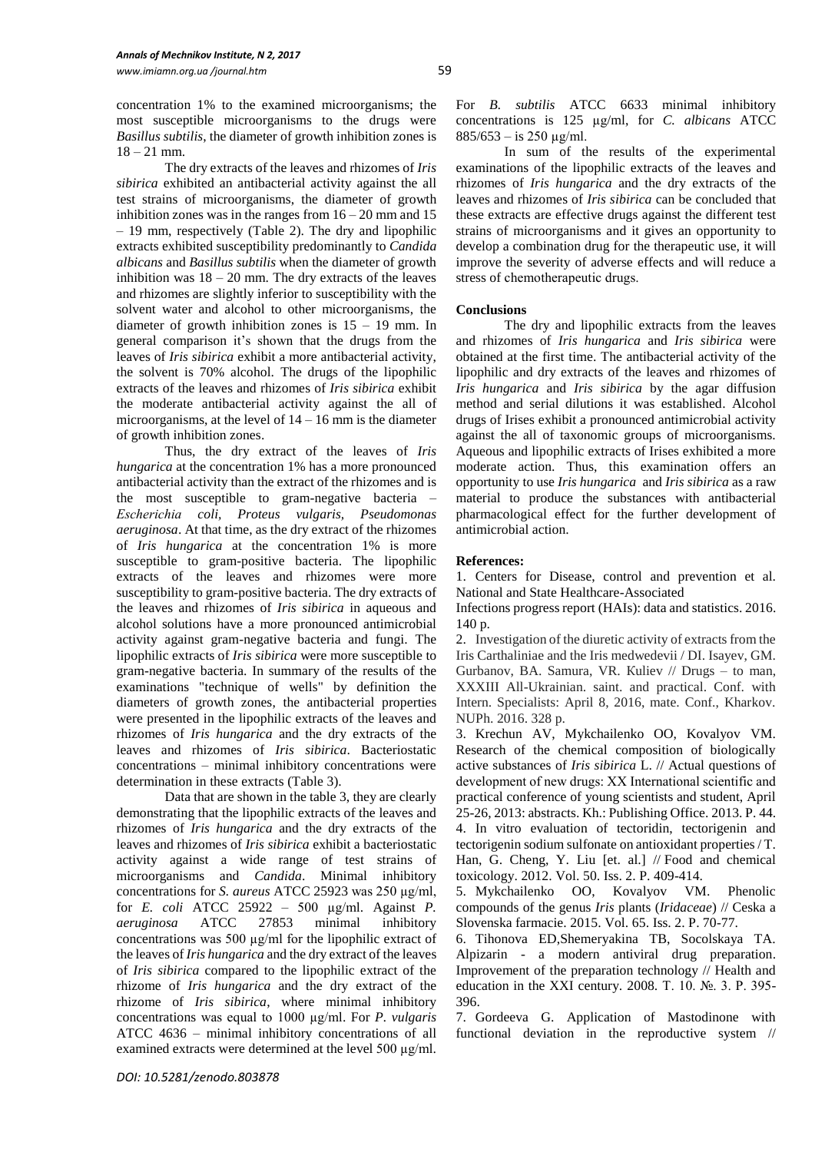concentration 1% to the examined microorganisms; the most susceptible microorganisms to the drugs were *Basillus subtilis*, the diameter of growth inhibition zones is 18 – 21 mm.

The dry extracts of the leaves and rhizomes of *Iris sibirica* exhibited an antibacterial activity against the all test strains of microorganisms, the diameter of growth inhibition zones was in the ranges from  $16 - 20$  mm and  $15$ – 19 mm, respectively (Table 2). The dry and lipophilic extracts exhibited susceptibility predominantly to *Candida albicans* and *Basillus subtilis* when the diameter of growth inhibition was  $18 - 20$  mm. The dry extracts of the leaves and rhizomes are slightly inferior to susceptibility with the solvent water and alcohol to other microorganisms, the diameter of growth inhibition zones is  $15 - 19$  mm. In general comparison it's shown that the drugs from the leaves of *Iris sibirica* exhibit a more antibacterial activity, the solvent is 70% alcohol. The drugs of the lipophilic extracts of the leaves and rhizomes of *Iris sibirica* exhibit the moderate antibacterial activity against the all of microorganisms, at the level of  $14 - 16$  mm is the diameter of growth inhibition zones.

Thus, the dry extract of the leaves of *Iris hungarica* at the concentration 1% has a more pronounced antibacterial activity than the extract of the rhizomes and is the most susceptible to gram-negative bacteria *– Escherichiа coli, Proteus vulgaris, Pseudomonas aeruginosa*. At that time, as the dry extract of the rhizomes of *Iris hungarica* at the concentration 1% is more susceptible to gram-positive bacteria. The lipophilic extracts of the leaves and rhizomes were more susceptibility to gram-positive bacteria. The dry extracts of the leaves and rhizomes of *Iris sibirica* in aqueous and alcohol solutions have a more pronounced antimicrobial activity against gram-negative bacteria and fungi. The lipophilic extracts of *Iris sibirica* were more susceptible to gram-negative bacteria. In summary of the results of the examinations "technique of wells" by definition the diameters of growth zones, the antibacterial properties were presented in the lipophilic extracts of the leaves and rhizomes of *Iris hungarica* and the dry extracts of the leaves and rhizomes of *Iris sibirica*. Bacteriostatic concentrations – minimal inhibitory concentrations were determination in these extracts (Table 3).

Data that are shown in the table 3, they are clearly demonstrating that the lipophilic extracts of the leaves and rhizomes of *Iris hungarica* and the dry extracts of the leaves and rhizomes of *Iris sibirica* exhibit a bacteriostatic activity against a wide range of test strains of microorganisms and *Candida*. Minimal inhibitory concentrations for *S. aureus* ATCC 25923 was 250 µg/ml, for *E. coli* ATCC 25922 – 500 µg/ml. Against *P. aeruginosa* ATCC 27853 minimal inhibitory concentrations was 500 µg/ml for the lipophilic extract of the leaves of *Iris hungarica* and the dry extract of the leaves of *Iris sibirica* compared to the lipophilic extract of the rhizome of *Iris hungarica* and the dry extract of the rhizome of *Iris sibirica*, where minimal inhibitory concentrations was equal to 1000 µg/ml. For *P. vulgaris* ATCC 4636 – minimal inhibitory concentrations of all examined extracts were determined at the level 500 µg/ml.

In sum of the results of the experimental examinations of the lipophilic extracts of the leaves and rhizomes of *Iris hungarica* and the dry extracts of the leaves and rhizomes of *Iris sibirica* can be concluded that these extracts are effective drugs against the different test strains of microorganisms and it gives an opportunity to develop a combination drug for the therapeutic use, it will improve the severity of adverse effects and will reduce a stress of сhemotherapeutic drugs.

# **Conclusions**

The dry and lipophilic extracts from the leaves and rhizomes of *Iris hungarica* and *Iris sibirica* were obtained at the first time. The antibacterial activity of the lipophilic and dry extracts of the leaves and rhizomes of *Iris hungarica* and *Iris sibirica* by the agar diffusion method and serial dilutions it was established. Alcohol drugs of Irises exhibit a pronounced antimicrobial activity against the all of taxonomic groups of microorganisms. Aqueous and lipophilic extracts of Irises exhibited a more moderate action. Thus, this examination offers an opportunity to use *Iris hungarica* and *Iris sibirica* as a raw material to produce the substances with antibacterial pharmacological effect for the further development of antimicrobial action.

## **References:**

1. Centers for Disease, control and prevention et al. National and State Healthcare-Associated

Infections progress report (HAIs): data and statistics. 2016. 140 p.

2. Investigation of the diuretic activity of extracts from the Iris Carthaliniae and the Iris medwedevii / DI. Isayev, GM. Gurbanov, BA. Samura, VR. Кuliev // Drugs – to man, XXXIII All-Ukrainian. saint. and practical. Conf. with Intern. Specialists: April 8, 2016, mate. Conf., Kharkov. NUPh. 2016. 328 p.

3. Krechun AV, Mykchailenko OO, Kovalyov VM. Research of the chemical composition of biologically active substances of *Iris sibirica* L. // Actual questions of development оf new drugs: XX International scientific and practical conference of young scientists and student, April 25-26, 2013: abstracts. Kh.: Publishing Office. 2013. P. 44. 4. In vitro evaluation of tectoridin, tectorigenin and tectorigenin sodium sulfonate on antioxidant properties / T. Han, G. Cheng, Y. Liu [et. al.] // Food and chemical toxicology. 2012. Vol. 50. Iss. 2. P. 409-414.

5. Mykchailenko OO, Kovalyov VM. Phenolic compounds of the genus *Iris* plants (*Iridaceae*) // Ceska a Slovenska farmacie. 2015. Vol. 65. Iss. 2. P. 70-77.

6. Tihonova ED,Shemeryakina TB, Socolskaya TA. Alpizarin - a modern antiviral drug preparation. Improvement of the preparation technology // Health and education in the XXI century. 2008. Т. 10. №. 3. P. 395- 396.

7. Gordeeva G. Application of Mastodinone with functional deviation in the reproductive system //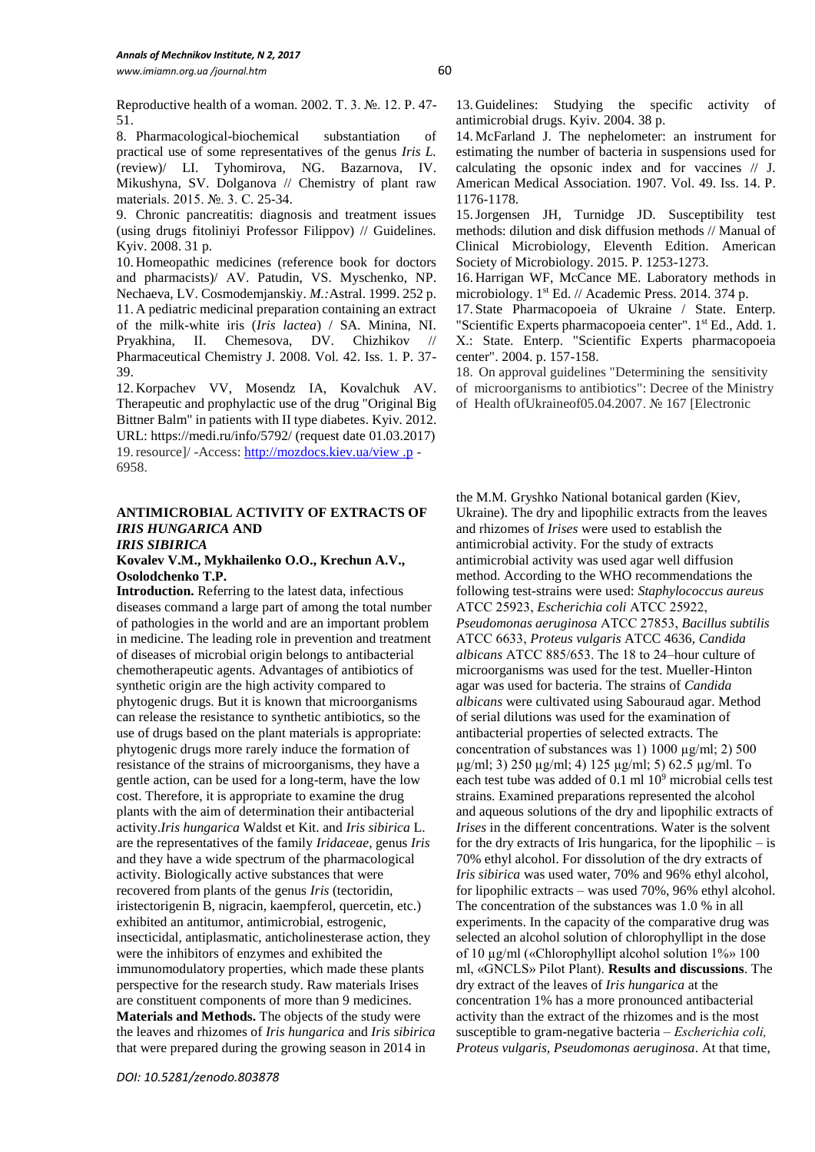Reproductive health of a woman. 2002. Т. 3. №. 12. P. 47- 51.

8. Pharmacological-biochemical substantiation of practical use of some representatives of the genus *Iris L.* (review)/ LI. Тyhomirova, NG. Bazarnova, IV. Mikushyna, SV. Dolganova // Chemistry of plant raw materials. 2015. №. 3. С. 25-34.

9. Chronic pancreatitis: diagnosis and treatment issues (using drugs fitoliniyi Professor Filippov) // Guidelines. Kyiv. 2008. 31 p.

10. Homeopathic medicines (reference book for doctors and pharmacists)/ АV. Patudin, VS. Myschenko, NP. Nechaeva, LV. Cosmodemjanskiy. *M.:*Astral. 1999. 252 p*.*  11. A pediatric medicinal preparation containing an extract of the milk-white iris (*Iris lactea*) / SA. Minina, NI. Pryakhina, II. Chemesova, DV. Chizhikov // Pharmaceutical Chemistry J. 2008. Vol. 42. Iss. 1. P. 37- 39.

12. Korpachev VV, Mosendz IA, Kovalchuk АV. Therapeutic and prophylactic use of the drug "Original Big Bittner Balm" in patients with II type diabetes. Kyiv*.* 2012. URL: https://medi.ru/info/5792/ (request date 01.03.2017) 19.resource]/ -Access[: http://mozdocs.kiev.ua/view .p](http://mozdocs.kiev.ua/view%20.p) - 6958.

#### **ANTIMICROBIAL ACTIVITY OF EXTRACTS OF**  *IRIS HUNGARICA* **AND**  *IRIS SIBIRICA*

## **Kovalev V.M., Mykhailenko O.O., Krechun A.V., Osolodchenko T.P.**

**Introduction.** Referring to the latest data, infectious diseases command a large part of among the total number of pathologies in the world and are an important problem in medicine. The leading role in prevention and treatment of diseases of microbial origin belongs to antibacterial [chemotherapeutic agents](http://www.multitran.ru/c/m.exe?t=5663067_1_2&s1=%F5%E8%EC%E8%EE%EF%F0%E5%EF%E0%F0%E0%F2). Advantages of antibiotics of synthetic origin are the high activity compared to phytogenic drugs. But it is known that microorganisms can release the resistance to synthetic antibiotics, so the use of drugs based on the plant materials is appropriate: phytogenic drugs more rarely induce the formation of resistance of the strains of microorganisms, they have a gentle action, can be used for a long-term, have the low cost. Therefore, it is appropriate to examine the drug plants with the aim of determination their antibacterial activity.*Iris hungarica* Waldst et Kit. and *Iris sibirica* L. are the representatives of the family *Iridaceae*, genus *Iris* and they have a wide spectrum of the pharmacological activity. Biologically active substances that were recovered from plants of the genus *Iris* (tectoridin, iristectorigenin B, nigracin, kaempferol, quercetin, etc.) exhibited an antitumor, antimicrobial, estrogenic, insecticidal, antiplasmatic, anticholinesterase action, they were the inhibitors of enzymes and exhibited the immunomodulatory properties, which made these plants perspective for the research study. Raw materials Irises are constituent components of more than 9 medicines. **Materials and Methods.** The objects of the study were the leaves and rhizomes of *Iris hungarica* and *Iris sibirica* that were prepared during the growing season in 2014 in

13. Guidelines: Studying the specific activity of antimicrobial drugs. Kyiv. 2004. 38 p.

14. McFarland J. The nephelometer: an instrument for estimating the number of bacteria in suspensions used for calculating the opsonic index and for vaccines // J. American Medical Association. 1907. Vol. 49. Iss. 14. P. 1176-1178.

15.Jorgensen JH, Turnidge JD. Susceptibility test methods: dilution and disk diffusion methods // Manual of Clinical Microbiology, Eleventh Edition. American Society of Microbiology. 2015. P. 1253-1273.

16. Harrigan WF, McCance ME. Laboratory methods in microbiology. 1<sup>st</sup> Ed. // Academic Press. 2014. 374 p.

17. State Pharmacopoeia of Ukraine / State. Enterp. "Scientific Experts pharmacopoeia center". 1<sup>st</sup> Ed., Add. 1. Х.: State. Enterp. "Scientific Experts pharmacopoeia center". 2004. p. 157-158.

18. On approval guidelines "Determining the sensitivity of microorganisms to antibiotics": Decree of the Ministry of Health ofUkraineof05.04.2007. № 167 [Electronic

the M.M. Gryshko National botanical garden (Kiev, Ukraine). The dry and lipophilic extracts from the leaves and rhizomes of *Irises* were used to establish the antimicrobial activity. For the study of extracts antimicrobial activity was used agar well diffusion method. According to the WHO recommendations the following test-strains were used: *Staphylococcus aureus* АТСС 25923, *Escherichia coli* АТСС 25922, *Pseudomonas aeruginosa* АТСС 27853, *Bacillus subtilis* АТСС 6633, *Proteus vulgaris* ATCC 4636, *Candida albicans* АТСС 885/653. The 18 to 24–hour culture of microorganisms was used for the test. Mueller-Hinton agar was used for bacteria. The strains of *Candida albicans* were cultivated using Sabouraud agar. Method of serial dilutions was used for the examination of antibacterial properties of selected extracts. The concentration of substances was 1) 1000  $\mu$ g/ml; 2) 500 µg/ml; 3) 250 µg/ml; 4) 125 µg/ml; 5) 62.5 µg/ml. To each test tube was added of 0.1 ml 10<sup>9</sup> microbial cells test strains. Examined preparations represented the alcohol and aqueous solutions of the dry and lipophilic extracts of *Irises* in the different concentrations. Water is the solvent for the dry extracts of Iris hungarica, for the lipophilic  $-\text{ is}$ 70% ethyl alcohol. For dissolution of the dry extracts of *Iris sibirica* was used water, 70% and 96% ethyl alcohol, for lipophilic extracts – was used 70%, 96% ethyl alcohol. The concentration of the substances was 1.0 % in all experiments. In the capacity of the comparative drug was selected an alcohol solution of chlorophyllipt in the dose of 10 µg/ml («Chlorophyllipt alcohol solution 1%» 100 ml, «GNCLS» Pilot Plant). **Results and discussions**. The dry extract of the leaves of *Iris hungarica* at the concentration 1% has a more pronounced antibacterial activity than the extract of the rhizomes and is the most susceptible to gram-negative bacteria *– Escherichiа coli, Proteus vulgaris, Pseudomonas aeruginosa*. At that time,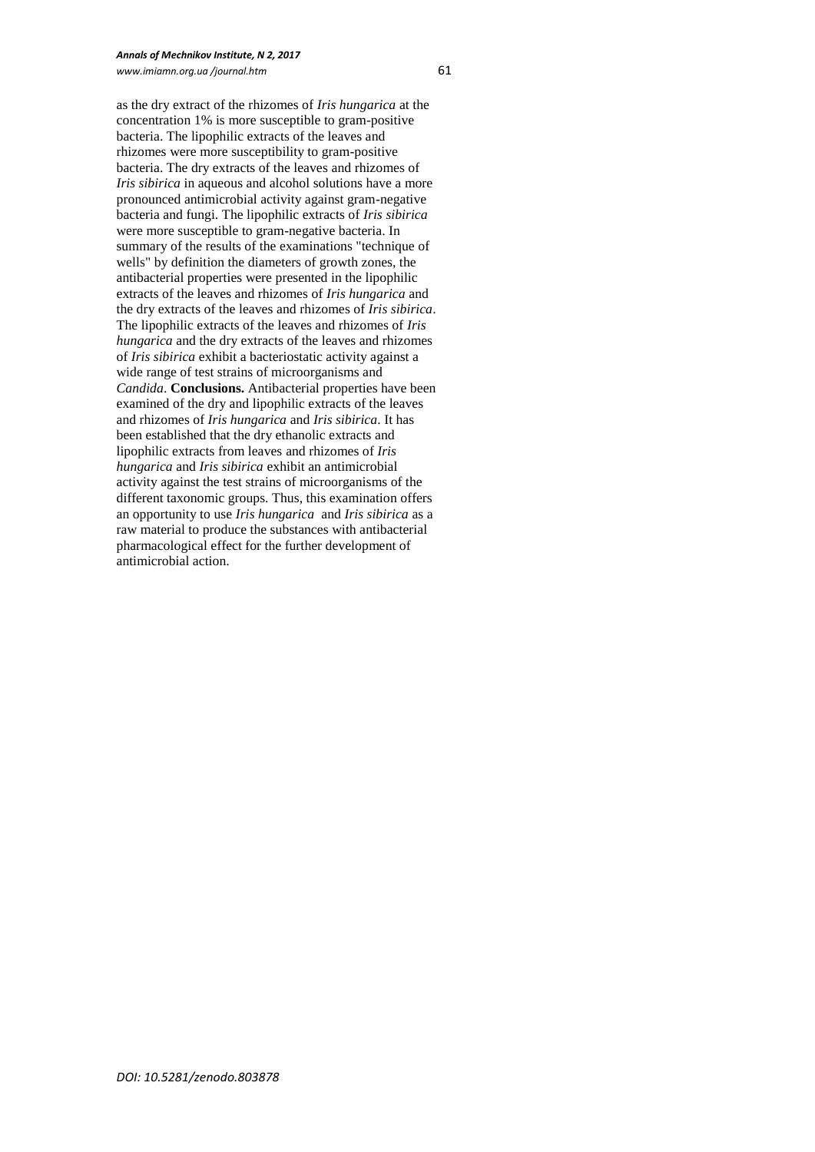as the dry extract of the rhizomes of *Iris hungarica* at the concentration 1% is more susceptible to gram-positive bacteria. The lipophilic extracts of the leaves and rhizomes were more susceptibility to gram-positive bacteria. The dry extracts of the leaves and rhizomes of *Iris sibirica* in aqueous and alcohol solutions have a more pronounced antimicrobial activity against gram-negative bacteria and fungi. The lipophilic extracts of *Iris sibirica* were more susceptible to gram-negative bacteria. In summary of the results of the examinations "technique of wells" by definition the diameters of growth zones, the antibacterial properties were presented in the lipophilic extracts of the leaves and rhizomes of *Iris hungarica* and the dry extracts of the leaves and rhizomes of *Iris sibirica*. The lipophilic extracts of the leaves and rhizomes of *Iris hungarica* and the dry extracts of the leaves and rhizomes of *Iris sibirica* exhibit a bacteriostatic activity against a wide range of test strains of microorganisms and *Candida*. **Conclusions.** Antibacterial properties have been examined of the dry and lipophilic extracts of the leaves and rhizomes of *Iris hungarica* and *Iris sibirica*. It has been established that the dry ethanolic extracts and lipophilic extracts from leaves and rhizomes of *Iris hungarica* and *Iris sibirica* exhibit an antimicrobial activity against the test strains of microorganisms of the different taxonomic groups. Thus, this examination offers an opportunity to use *Iris hungarica* and *Iris sibirica* as a raw material to produce the substances with antibacterial pharmacological effect for the further development of antimicrobial action.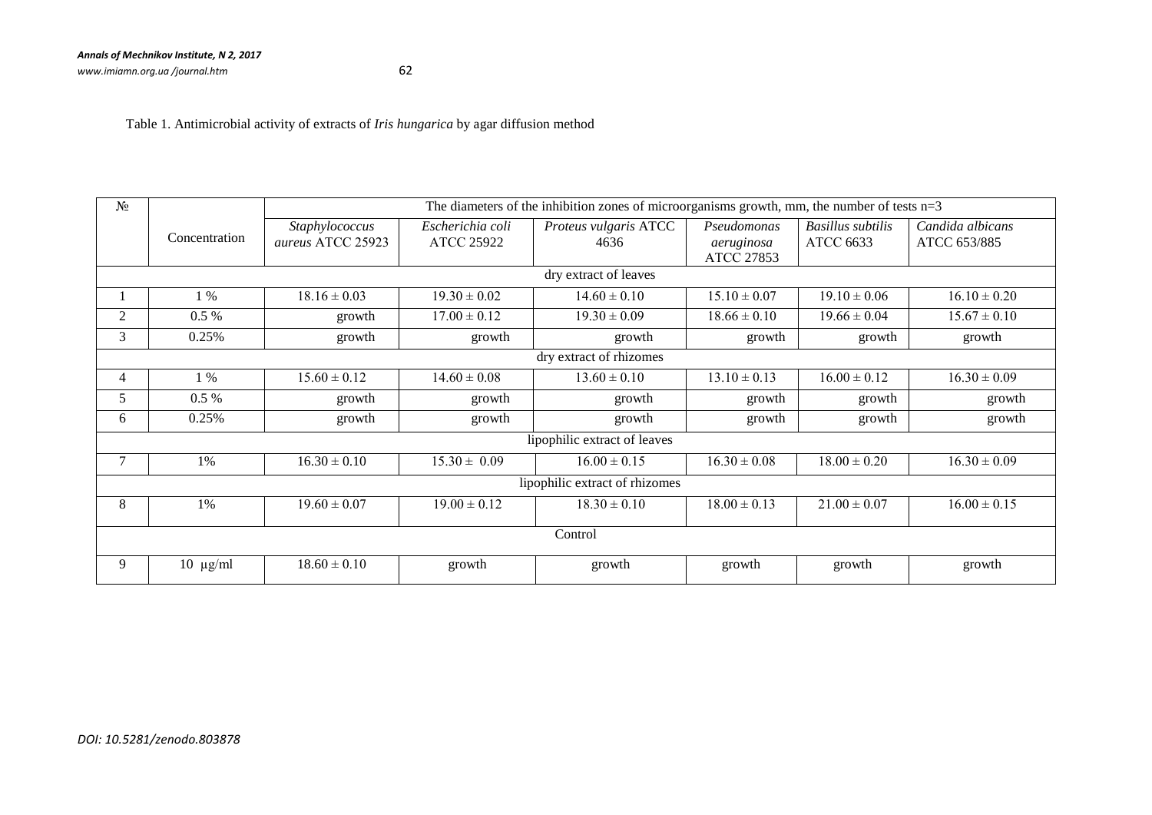Table 1. Antimicrobial activity of extracts of *Iris hungarica* by agar diffusion method

| N <sub>2</sub>                 |               | The diameters of the inhibition zones of microorganisms growth, mm, the number of tests $n=3$ |                                       |                               |                           |                                       |                                  |  |
|--------------------------------|---------------|-----------------------------------------------------------------------------------------------|---------------------------------------|-------------------------------|---------------------------|---------------------------------------|----------------------------------|--|
|                                | Concentration | Staphylococcus<br>aureus ATCC 25923                                                           | Escherichia coli<br><b>ATCC 25922</b> | Proteus vulgaris ATCC<br>4636 | Pseudomonas<br>aeruginosa | <b>Basillus</b> subtilis<br>ATCC 6633 | Candida albicans<br>ATCC 653/885 |  |
|                                |               |                                                                                               |                                       |                               | ATCC 27853                |                                       |                                  |  |
| dry extract of leaves          |               |                                                                                               |                                       |                               |                           |                                       |                                  |  |
|                                | $1\%$         | $18.16 \pm 0.03$                                                                              | $19.30 \pm 0.02$                      | $14.60 \pm 0.10$              | $15.10 \pm 0.07$          | $19.10 \pm 0.06$                      | $16.10 \pm 0.20$                 |  |
| 2                              | $0.5\%$       | growth                                                                                        | $17.00 \pm 0.12$                      | $19.30 \pm 0.09$              | $18.66 \pm 0.10$          | $19.66 \pm 0.04$                      | $15.67 \pm 0.10$                 |  |
| 3                              | 0.25%         | growth                                                                                        | growth                                | growth                        | growth                    | growth                                | growth                           |  |
| dry extract of rhizomes        |               |                                                                                               |                                       |                               |                           |                                       |                                  |  |
| 4                              | $1\%$         | $15.60 \pm 0.12$                                                                              | $14.60 \pm 0.08$                      | $13.60 \pm 0.10$              | $13.10 \pm 0.13$          | $16.00 \pm 0.12$                      | $16.30 \pm 0.09$                 |  |
| 5                              | $0.5 \%$      | growth                                                                                        | growth                                | growth                        | growth                    | growth                                | growth                           |  |
| 6                              | 0.25%         | growth                                                                                        | growth                                | growth                        | growth                    | growth                                | growth                           |  |
| lipophilic extract of leaves   |               |                                                                                               |                                       |                               |                           |                                       |                                  |  |
|                                | 1%            | $16.30 \pm 0.10$                                                                              | $15.30 \pm 0.09$                      | $\overline{16.00} \pm 0.15$   | $16.30 \pm 0.08$          | $18.00 \pm 0.20$                      | $16.30 \pm 0.09$                 |  |
| lipophilic extract of rhizomes |               |                                                                                               |                                       |                               |                           |                                       |                                  |  |
| 8                              | 1%            | $19.60 \pm 0.07$                                                                              | $19.00 \pm 0.12$                      | $18.30 \pm 0.10$              | $18.00 \pm 0.13$          | $21.00 \pm 0.07$                      | $16.00 \pm 0.15$                 |  |
| Control                        |               |                                                                                               |                                       |                               |                           |                                       |                                  |  |
| 9                              | $10 \mu g/ml$ | $18.60 \pm 0.10$                                                                              | growth                                | growth                        | growth                    | growth                                | growth                           |  |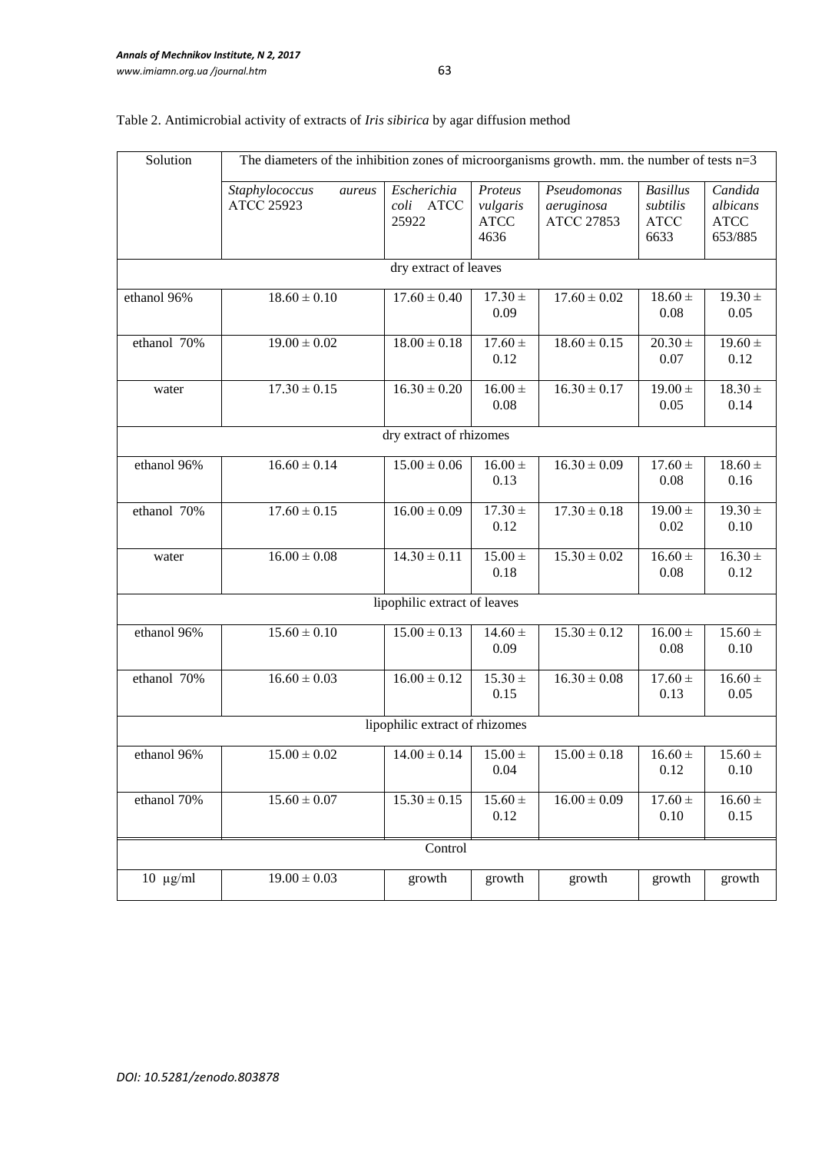| Solution                       | The diameters of the inhibition zones of microorganisms growth. mm. the number of tests $n=3$ |                                                      |                                            |                                         |                                                    |                                               |  |  |  |
|--------------------------------|-----------------------------------------------------------------------------------------------|------------------------------------------------------|--------------------------------------------|-----------------------------------------|----------------------------------------------------|-----------------------------------------------|--|--|--|
|                                | Staphylococcus<br>aureus<br><b>ATCC 25923</b>                                                 | Escherichia<br>$\textit{coli}$ $\quad$ ATCC<br>25922 | Proteus<br>vulgaris<br><b>ATCC</b><br>4636 | Pseudomonas<br>aeruginosa<br>ATCC 27853 | <b>Basillus</b><br>subtilis<br><b>ATCC</b><br>6633 | Candida<br>albicans<br><b>ATCC</b><br>653/885 |  |  |  |
|                                | dry extract of leaves                                                                         |                                                      |                                            |                                         |                                                    |                                               |  |  |  |
| ethanol 96%                    | $18.60 \pm 0.10$                                                                              | $17.60 \pm 0.40$                                     | $17.30 \pm$<br>0.09                        | $17.60 \pm 0.02$                        | $18.60 \pm$<br>0.08                                | $19.30 \pm$<br>0.05                           |  |  |  |
| ethanol 70%                    | $19.00 \pm 0.02$                                                                              | $18.00 \pm 0.18$                                     | $17.60 \pm$<br>0.12                        | $18.60 \pm 0.15$                        | $20.30 \pm$<br>0.07                                | $19.60 \pm$<br>0.12                           |  |  |  |
| water                          | $17.30 \pm 0.15$                                                                              |                                                      | $16.00 \pm$<br>0.08                        | $16.30 \pm 0.17$                        | $19.00 \pm$<br>0.05                                | $18.30 \pm$<br>0.14                           |  |  |  |
|                                |                                                                                               | dry extract of rhizomes                              |                                            |                                         |                                                    |                                               |  |  |  |
| ethanol 96%                    | $16.60 \pm 0.14$                                                                              | $15.00 \pm 0.06$                                     | $16.00\,\pm\,$<br>0.13                     | $16.30 \pm 0.09$                        | $17.60 \pm$<br>0.08                                | $18.60 \pm$<br>0.16                           |  |  |  |
| ethanol 70%                    | $17.60 \pm 0.15$                                                                              | $16.00 \pm 0.09$                                     | $17.30 \pm$<br>0.12                        | $17.30 \pm 0.18$                        | $19.00 \pm$<br>0.02                                | $19.30 \pm$<br>0.10                           |  |  |  |
| water                          | $16.00 \pm 0.08$                                                                              | $14.30 \pm 0.11$                                     | $15.00 +$<br>0.18                          | $15.30 \pm 0.02$                        | $16.60 \pm$<br>0.08                                | $16.30 \pm$<br>0.12                           |  |  |  |
|                                |                                                                                               | lipophilic extract of leaves                         |                                            |                                         |                                                    |                                               |  |  |  |
| ethanol 96%                    | $15.60 \pm 0.10$                                                                              | $15.00 \pm 0.13$                                     | $14.60 +$<br>0.09                          | $15.30 \pm 0.12$                        | $16.00 \pm$<br>0.08                                | $15.60 \pm$<br>0.10                           |  |  |  |
| ethanol 70%                    | $16.60 \pm 0.03$                                                                              | $16.00 \pm 0.12$                                     | $15.30 \pm$<br>0.15                        | $16.30 \pm 0.08$                        | $17.60 \pm$<br>0.13                                | $16.60 \pm$<br>0.05                           |  |  |  |
| lipophilic extract of rhizomes |                                                                                               |                                                      |                                            |                                         |                                                    |                                               |  |  |  |
| ethanol 96%                    | $15.00\pm0.02$                                                                                | $14.00 \pm 0.14$                                     | $15.00 \pm$<br>0.04                        | $15.00 \pm 0.18$                        | $16.60 \pm$<br>0.12                                | $15.60 \pm$<br>0.10                           |  |  |  |
| ethanol 70%                    | $15.60 \pm 0.07$                                                                              | $15.30 \pm 0.15$                                     | $15.60\,\pm\,$<br>0.12                     | $16.00 \pm 0.09$                        | $17.60\,\pm\,$<br>0.10                             | $16.60 \pm$<br>0.15                           |  |  |  |
| Control                        |                                                                                               |                                                      |                                            |                                         |                                                    |                                               |  |  |  |
| $10 \mu g/ml$                  | $19.00 \pm 0.03$                                                                              | growth                                               | growth                                     | growth                                  | growth                                             | growth                                        |  |  |  |

# Table 2. Antimicrobial activity of extracts of *Iris sibirica* by agar diffusion method